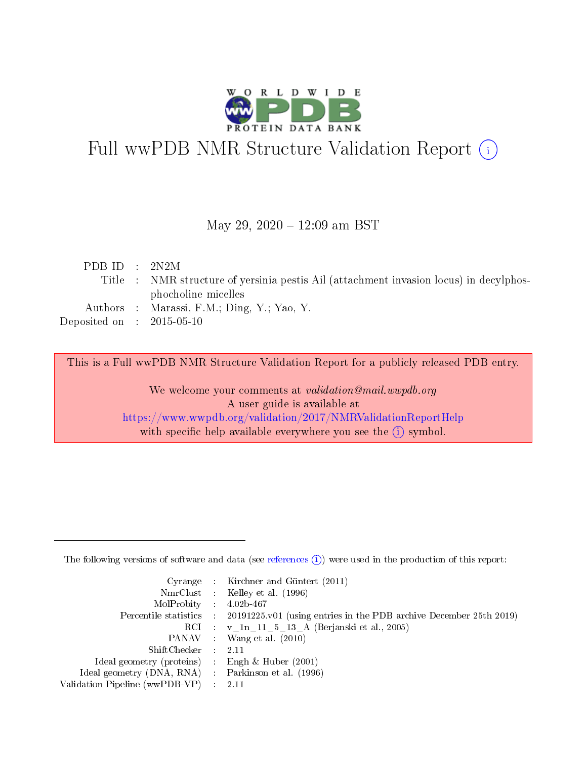

# Full wwPDB NMR Structure Validation Report (i)

## May 29, 2020 - 12:09 am BST

| PDB ID : $2N2M$             |                                                                                        |
|-----------------------------|----------------------------------------------------------------------------------------|
|                             | Title : NMR structure of yersinia pestis Ail (attachment invasion locus) in decylphos- |
|                             | phocholine micelles                                                                    |
|                             | Authors : Marassi, F.M.; Ding, Y.; Yao, Y.                                             |
| Deposited on : $2015-05-10$ |                                                                                        |
|                             |                                                                                        |

This is a Full wwPDB NMR Structure Validation Report for a publicly released PDB entry.

We welcome your comments at *validation@mail.wwpdb.org* A user guide is available at <https://www.wwpdb.org/validation/2017/NMRValidationReportHelp> with specific help available everywhere you see the  $(i)$  symbol.

The following versions of software and data (see [references](https://www.wwpdb.org/validation/2017/NMRValidationReportHelp#references)  $(1)$ ) were used in the production of this report:

|                                                    |                          | Cyrange : Kirchner and Güntert $(2011)$                                |
|----------------------------------------------------|--------------------------|------------------------------------------------------------------------|
|                                                    |                          | NmrClust : Kelley et al. (1996)                                        |
| $MolProbability$ 4.02b-467                         |                          |                                                                        |
| Percentile statistics :                            |                          | $20191225$ , v01 (using entries in the PDB archive December 25th 2019) |
|                                                    |                          | RCI : v 1n 11 5 13 A (Berjanski et al., 2005)                          |
|                                                    |                          | PANAV : Wang et al. (2010)                                             |
| $ShiftChecker$ :                                   |                          | -2.11                                                                  |
| Ideal geometry (proteins) : Engh $\&$ Huber (2001) |                          |                                                                        |
| Ideal geometry (DNA, RNA) Parkinson et al. (1996)  |                          |                                                                        |
| Validation Pipeline (wwPDB-VP)                     | $\mathcal{L}_{\rm{max}}$ | - 2.11                                                                 |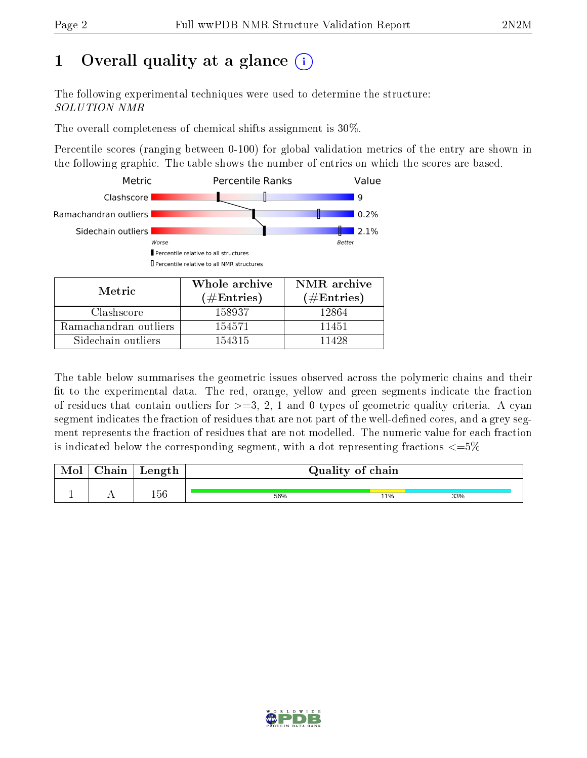# 1 [O](https://www.wwpdb.org/validation/2017/NMRValidationReportHelp#overall_quality)verall quality at a glance  $(i)$

The following experimental techniques were used to determine the structure: SOLUTION NMR

The overall completeness of chemical shifts assignment is 30%.

Percentile scores (ranging between 0-100) for global validation metrics of the entry are shown in the following graphic. The table shows the number of entries on which the scores are based.



| <b>IVIE LETU</b>      | $(\#\text{Entries})$ | $(\#Entries)$ |
|-----------------------|----------------------|---------------|
| Clashscore            | 158937               | 12864         |
| Ramachandran outliers | 154571               | 11451         |
| Sidechain outliers    | 154315               | 11428         |

The table below summarises the geometric issues observed across the polymeric chains and their fit to the experimental data. The red, orange, yellow and green segments indicate the fraction of residues that contain outliers for  $>=3, 2, 1$  and 0 types of geometric quality criteria. A cyan segment indicates the fraction of residues that are not part of the well-defined cores, and a grey segment represents the fraction of residues that are not modelled. The numeric value for each fraction is indicated below the corresponding segment, with a dot representing fractions  $\epsilon = 5\%$ 

| <b>NIOI</b> | ${\bf Chain}$ | Length | Quality of chain |     |     |
|-------------|---------------|--------|------------------|-----|-----|
|             |               | 156    | 56%              | 11% | 33% |

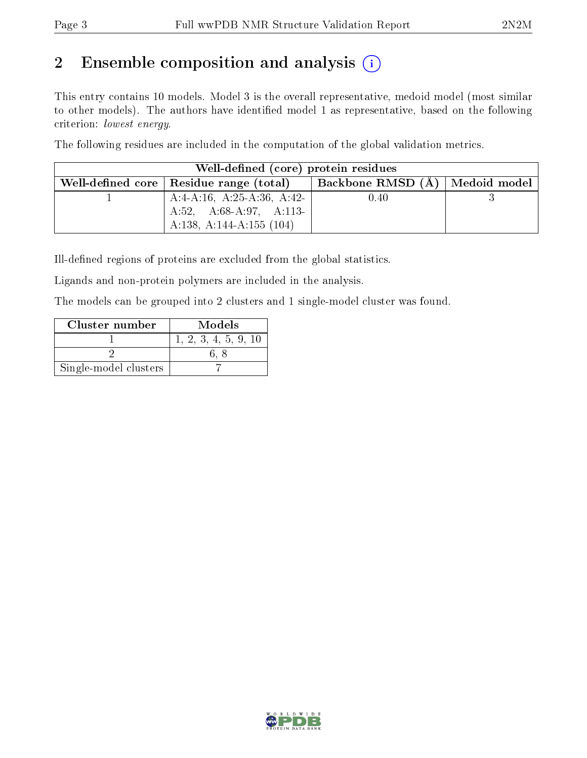# 2 Ensemble composition and analysis  $(i)$

This entry contains 10 models. Model 3 is the overall representative, medoid model (most similar to other models). The authors have identified model 1 as representative, based on the following criterion: lowest energy.

The following residues are included in the computation of the global validation metrics.

| Well-defined (core) protein residues            |                                  |  |
|-------------------------------------------------|----------------------------------|--|
| Well-defined core $\vert$ Residue range (total) | Backbone RMSD (A)   Medoid model |  |
| A:4-A:16, A:25-A:36, A:42-                      | 0.40                             |  |
| A:52, A:68-A:97, A:113-                         |                                  |  |
| A:138, A:144-A:155 $(104)$                      |                                  |  |

Ill-defined regions of proteins are excluded from the global statistics.

Ligands and non-protein polymers are included in the analysis.

The models can be grouped into 2 clusters and 1 single-model cluster was found.

| Cluster number        | Models               |
|-----------------------|----------------------|
|                       | 1, 2, 3, 4, 5, 9, 10 |
|                       |                      |
| Single-model clusters |                      |

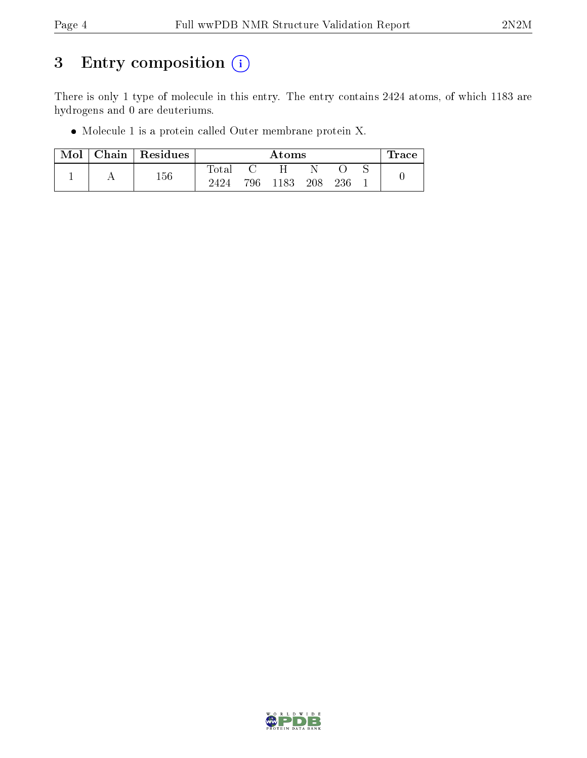# 3 Entry composition (i)

There is only 1 type of molecule in this entry. The entry contains 2424 atoms, of which 1183 are hydrogens and 0 are deuteriums.

Molecule 1 is a protein called Outer membrane protein X.

| Mol | Chain | $\vert$ Residues |             |     | Atoms |     |     | Trace ' |
|-----|-------|------------------|-------------|-----|-------|-----|-----|---------|
|     |       | 156              | $\rm Total$ |     |       |     |     |         |
|     |       |                  | 2424        | 796 | 1183  | 208 | 236 |         |

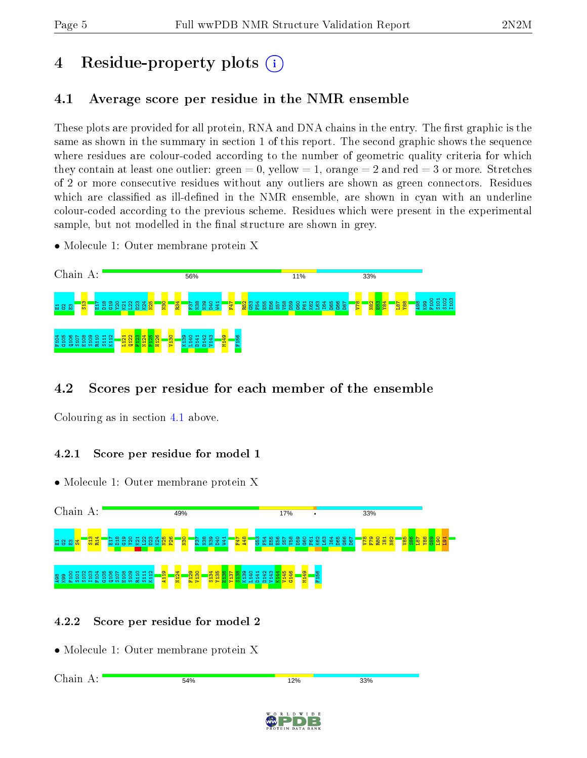# 4 Residue-property plots  $\binom{1}{1}$

# <span id="page-4-0"></span>4.1 Average score per residue in the NMR ensemble

These plots are provided for all protein, RNA and DNA chains in the entry. The first graphic is the same as shown in the summary in section 1 of this report. The second graphic shows the sequence where residues are colour-coded according to the number of geometric quality criteria for which they contain at least one outlier: green  $= 0$ , yellow  $= 1$ , orange  $= 2$  and red  $= 3$  or more. Stretches of 2 or more consecutive residues without any outliers are shown as green connectors. Residues which are classified as ill-defined in the NMR ensemble, are shown in cyan with an underline colour-coded according to the previous scheme. Residues which were present in the experimental sample, but not modelled in the final structure are shown in grey.

• Molecule 1: Outer membrane protein X



# 4.2 Scores per residue for each member of the ensemble

Colouring as in section [4.1](#page-4-0) above.

## 4.2.1 Score per residue for model 1

• Molecule 1: Outer membrane protein X



## 4.2.2 Score per residue for model 2

• Molecule 1: Outer membrane protein X

Chain A:54% 12% 33%

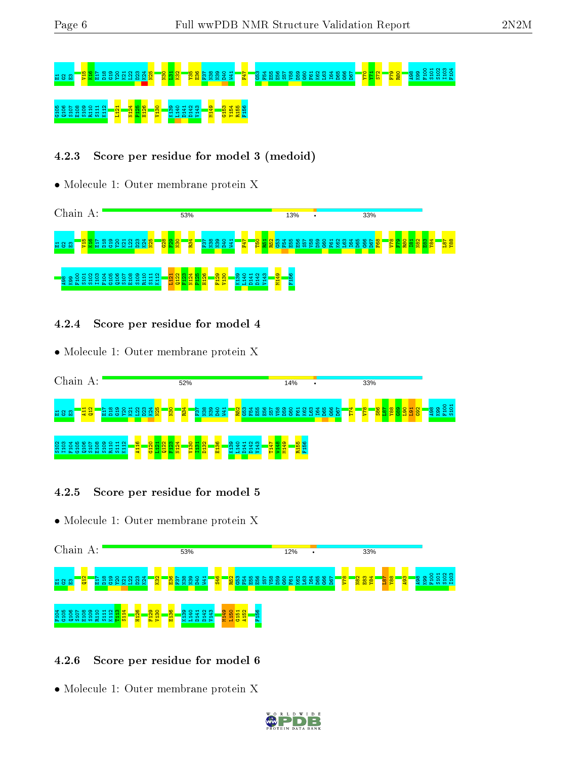# $\frac{13}{13}$ 5338  $\frac{13}{13}$ 8  $\frac{13}{13}$   $\frac{13}{13}$   $\frac{13}{13}$   $\frac{13}{13}$   $\frac{13}{13}$   $\frac{13}{13}$   $\frac{13}{13}$   $\frac{13}{13}$   $\frac{13}{13}$   $\frac{13}{13}$   $\frac{13}{13}$   $\frac{13}{13}$   $\frac{13}{13}$   $\frac{13}{13}$   $\frac{13}{13}$   $\frac{13}{13}$  8 8 5 8 8 9 9 1 1 3 <mark>- 5 8 8 8 - 6 - 6 - 6</mark> 9 9 1 9 9 - 9 - 8 5 8 5<br>8 8 5 8 8 9 1 1 1 - 7 - 5 8 9 - 6 9 - 7 9 1 0 1

# 4.2.3 Score per residue for model 3 (medoid)

• Molecule 1: Outer membrane protein X



- 4.2.4 Score per residue for model 4
- Molecule 1: Outer membrane protein X



- 4.2.5 Score per residue for model 5
- Molecule 1: Outer membrane protein X



## 4.2.6 Score per residue for model 6

• Molecule 1: Outer membrane protein X

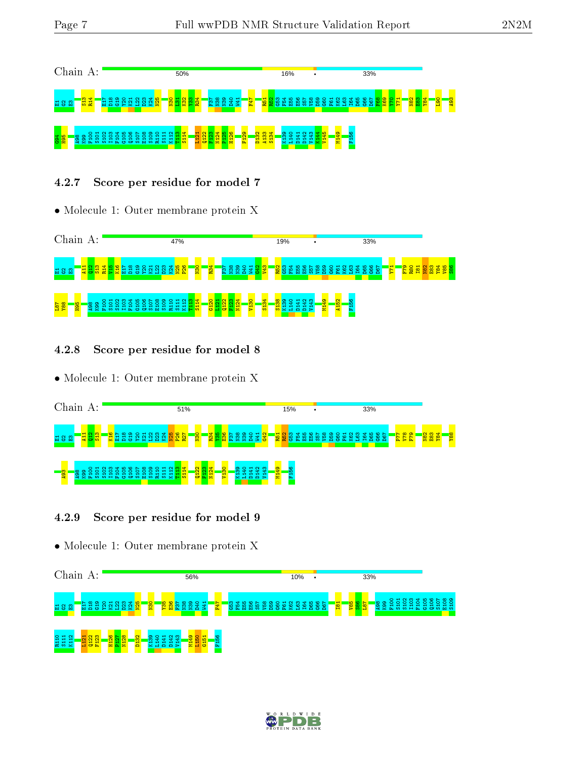

## 4.2.7 Score per residue for model 7

• Molecule 1: Outer membrane protein X



4.2.8 Score per residue for model 8

• Molecule 1: Outer membrane protein X

| Chain          |   |        | A:                                  |        |                              |              |            |                 |   |                |                |              |        |            | 51%        |            |          |                   |                        |                              |             |          |                  |            |         |               |        | 15% |   |        |      | $\bullet$ |  |  | 33% |        |                |        |            |                 |   |                  |           |
|----------------|---|--------|-------------------------------------|--------|------------------------------|--------------|------------|-----------------|---|----------------|----------------|--------------|--------|------------|------------|------------|----------|-------------------|------------------------|------------------------------|-------------|----------|------------------|------------|---------|---------------|--------|-----|---|--------|------|-----------|--|--|-----|--------|----------------|--------|------------|-----------------|---|------------------|-----------|
| <b>보유명</b>     |   | −<br>륗 | 島<br>륩                              |        | $\boldsymbol{\omega}$<br>로 표 |              | <b>B18</b> | $\frac{38}{20}$ | ≌ |                | 8              | ₩<br>오달      |        | <b>P26</b> | <b>R27</b> | <b>osu</b> |          |                   | <mark>pa</mark><br>195 | 86                           | <b>i</b> si |          | i <u>8</u><br>18 | <b>BAO</b> | 341     | $\frac{d}{d}$ | R51    | 豎   | 鴲 | ю<br>÷ | - 52 |           |  |  |     | ю<br>⌒ | $\circ$ $\sim$ | N<br>Σ | <b>844</b> | N <sub>82</sub> | 留 | <b><u>g4</u></b> | <b>88</b> |
| ాణ<br><b>Q</b> | ന |        | $\circ$ $\cdot$<br><b>The State</b> | $\sim$ | ന                            | - -<br>The c | έ'n        | ິ               | m | ഹ<br><b>TO</b> | $\circ$<br>άm. | $\mathbf{H}$ | $\sim$ | 호흡분        | ョ          | Ñ          | ನಿ<br>흉리 | $\mathbb{Z}$<br>률 |                        | $\overline{\mathbf{S}}$<br>Ξ |             | စ္က<br>큧 | ဒ္ဓ<br>石         | ÷<br>75)   | a,<br>룸 | ఞ<br>s        | 4<br>륳 | P.  |   |        |      |           |  |  |     |        |                |        |            |                 |   |                  |           |

## 4.2.9 Score per residue for model 9

• Molecule 1: Outer membrane protein X



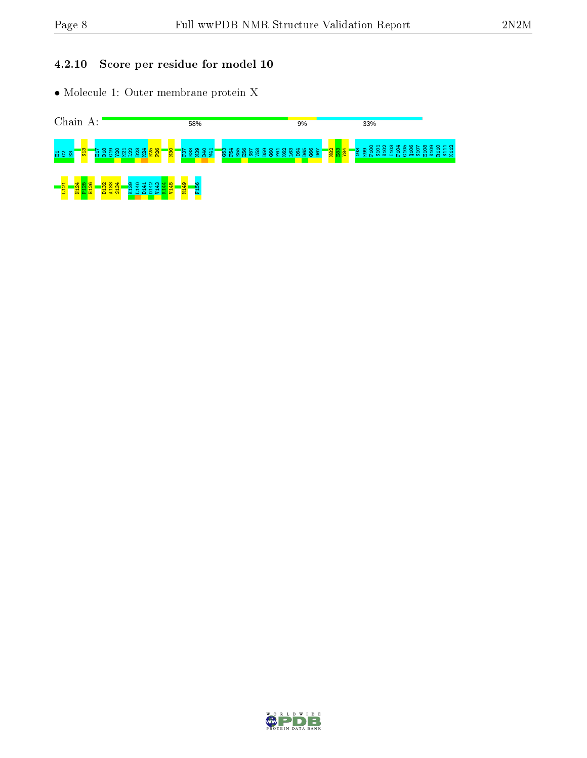## 4.2.10 Score per residue for model 10

• Molecule 1: Outer membrane protein X



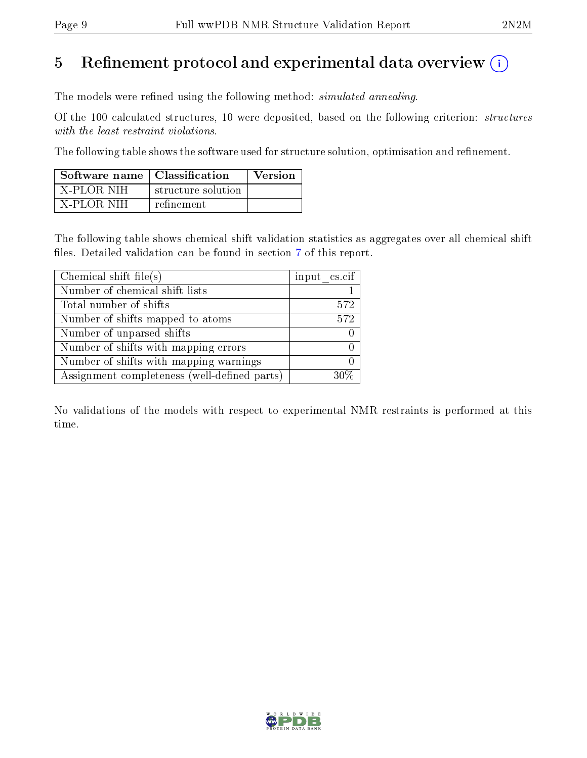# 5 Refinement protocol and experimental data overview  $\binom{1}{k}$

The models were refined using the following method: *simulated annealing*.

Of the 100 calculated structures, 10 were deposited, based on the following criterion: structures with the least restraint violations.

The following table shows the software used for structure solution, optimisation and refinement.

| Software name   Classification |                    | <b>Version</b> |
|--------------------------------|--------------------|----------------|
| ' X-PLOR NIH-                  | structure solution |                |
| - X-PLOR NIH                   | refinement         |                |

The following table shows chemical shift validation statistics as aggregates over all chemical shift files. Detailed validation can be found in section [7](#page-15-0) of this report.

| Chemical shift file(s)                       | input cs.cif |
|----------------------------------------------|--------------|
| Number of chemical shift lists               |              |
| Total number of shifts                       | 572          |
| Number of shifts mapped to atoms             | 572          |
| Number of unparsed shifts                    |              |
| Number of shifts with mapping errors         |              |
| Number of shifts with mapping warnings       |              |
| Assignment completeness (well-defined parts) |              |

No validations of the models with respect to experimental NMR restraints is performed at this time.

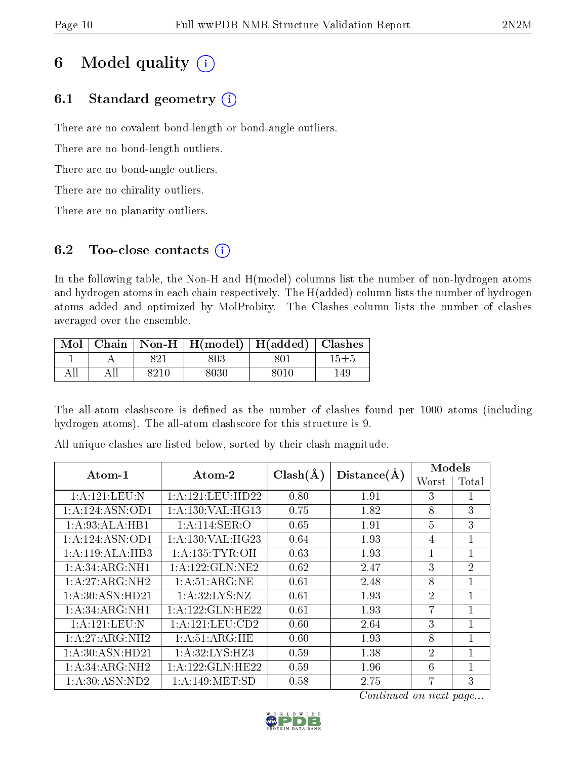# 6 Model quality  $(i)$

# 6.1 Standard geometry  $(i)$

There are no covalent bond-length or bond-angle outliers.

There are no bond-length outliers.

There are no bond-angle outliers.

There are no chirality outliers.

There are no planarity outliers.

# 6.2 Too-close contacts  $(i)$

In the following table, the Non-H and H(model) columns list the number of non-hydrogen atoms and hydrogen atoms in each chain respectively. The H(added) column lists the number of hydrogen atoms added and optimized by MolProbity. The Clashes column lists the number of clashes averaged over the ensemble.

|     |     |      | Mol   Chain   Non-H   H(model)   H(added)   Clashes |      |            |
|-----|-----|------|-----------------------------------------------------|------|------------|
|     |     | 821  | 803                                                 | 801  | $15{\pm}5$ |
| All | All | 8210 | 8030                                                | 8010 | 149.       |

The all-atom clashscore is defined as the number of clashes found per 1000 atoms (including hydrogen atoms). The all-atom clashscore for this structure is 9.

| $\boldsymbol{\mathrm{Atom}\text{-}1}$ | Atom-2               | $Clash(\AA)$ | Distance(A) | Models         |                |
|---------------------------------------|----------------------|--------------|-------------|----------------|----------------|
|                                       |                      |              |             | Worst          | Total          |
| 1:A:121:LEU:N                         | 1:A:121:LEU:HD22     | 0.80         | 1.91        | 3              | 1              |
| 1: A:124: ASN:OD1                     | 1: A: 130: VAL: HG13 | 0.75         | 1.82        | 8              | 3              |
| 1:A:93:ALA:HB1                        | 1:A:114:SER:O        | 0.65         | 1.91        | 5              | 3              |
| 1:A:124:ASN:OD1                       | 1: A: 130: VAL: HG23 | 0.64         | 1.93        | $\overline{4}$ | $\mathbf{1}$   |
| 1:A:119:ALA:HB3                       | 1: A: 135: TYR: OH   | 0.63         | 1.93        |                | 1              |
| 1:A:34:ARG:NH1                        | 1: A: 122: GLN: NE2  | 0.62         | 2.47        | 3              | $\overline{2}$ |
| 1:A:27:ARG:NH2                        | 1:A:51:ARG:NE        | 0.61         | 2.48        | 8              | $\mathbf{1}$   |
| 1: A:30: ASN:HD21                     | 1: A:32: LYS: NZ     | 0.61         | 1.93        | $\overline{2}$ | 1              |
| 1:A:34:ARG:NH1                        | 1: A: 122: GLN: HE22 | 0.61         | 1.93        | $\overline{7}$ | 1              |
| 1:A:121:LEU:N                         | 1:A:121:LEU:CD2      | 0.60         | 2.64        | 3              | 1              |
| 1:A:27:ARG:NH2                        | 1:A:51:ARG:HE        | 0.60         | 1.93        | 8              | 1              |
| 1: A:30: ASN:HD21                     | 1: A:32: LYS: HZ3    | 0.59         | 1.38        | $\overline{2}$ | 1              |
| 1:A:34:ARG:NH2                        | 1: A: 122: GLN: HE22 | 0.59         | 1.96        | 6              | $\mathbf{1}$   |
| 1:A:30:ASN:ND2                        | 1: A:149:MET:SD      | 0.58         | 2.75        |                | 3              |

All unique clashes are listed below, sorted by their clash magnitude.

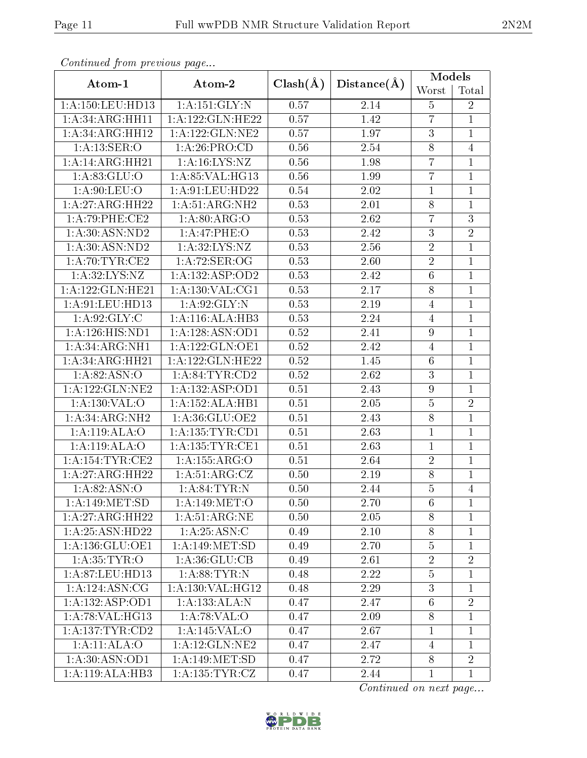| Continuea from previous page |                     | $Clash(\AA)$ |                   | <b>Models</b>    |                |
|------------------------------|---------------------|--------------|-------------------|------------------|----------------|
| Atom-1                       | Atom-2              |              | Distance(A)       | Worst            | Total          |
| 1:A:150:LEU:HD13             | 1: A: 151: GLY: N   | 0.57         | 2.14              | $\overline{5}$   | $\overline{2}$ |
| $1:A:\overline{34:ARG:HH11}$ | 1:A:122:GLN:HE22    | 0.57         | 1.42              | $\overline{7}$   | $\mathbf{1}$   |
| 1:A:34:ARG:HH12              | 1: A: 122: GLN: NE2 | 0.57         | 1.97              | $\boldsymbol{3}$ | $\mathbf{1}$   |
| 1:A:13:SER:O                 | 1:A:26:PRO:CD       | 0.56         | 2.54              | $\overline{8}$   | 4              |
| 1:A:14:ARG:HH21              | 1: A: 16: LYS: NZ   | 0.56         | 1.98              | $\overline{7}$   | $\mathbf{1}$   |
| $1:\overline{A:83:GLU:O}$    | 1: A:85:VAL:HG13    | 0.56         | 1.99              | $\overline{7}$   | $\overline{1}$ |
| 1: A:90: LEU:O               | 1:A:91:LEU:HD22     | 0.54         | 2.02              | $\mathbf{1}$     | $\mathbf{1}$   |
| 1:A:27:ARG:HH22              | 1:A:51:ARG:NH2      | 0.53         | 2.01              | $8\,$            | $\mathbf{1}$   |
| 1:A:79:PHE:CE2               | 1: A:80: ARG:O      | 0.53         | 2.62              | 7                | $\overline{3}$ |
| 1: A:30: ASN:ND2             | 1:A:47:PHE:O        | 0.53         | 2.42              | $\mathfrak{Z}$   | $\overline{2}$ |
| 1: A:30: ASN:ND2             | 1: A:32: LYS: NZ    | 0.53         | $\overline{2.56}$ | $\overline{2}$   | $\overline{1}$ |
| 1: A:70:TYR:CE2              | 1:A:72:SER:OG       | 0.53         | 2.60              | $\overline{2}$   | $\mathbf 1$    |
| 1: A:32: LYS: NZ             | 1:A:132:ASP:OD2     | 0.53         | 2.42              | 6                | $\mathbf{1}$   |
| 1: A: 122: GLN: HE21         | 1:A:130:VAL:CG1     | 0.53         | 2.17              | $8\,$            | $\mathbf{1}$   |
| 1:A:91:LEU:HD13              | 1:A:92:GLY:N        | 0.53         | 2.19              | $\overline{4}$   | $\overline{1}$ |
| 1: A.92: GLY: C              | 1: A:116: ALA:HB3   | 0.53         | 2.24              | $\overline{4}$   | $\mathbf{1}$   |
| 1:A:126:HIS:ND1              | 1:A:128:ASN:OD1     | 0.52         | 2.41              | $\overline{9}$   | $\mathbf{1}$   |
| 1:A:34:ARG:NH1               | 1: A: 122: GLN: OE1 | 0.52         | 2.42              | $\overline{4}$   | $\mathbf{1}$   |
| 1:A:34:ARG:HH21              | 1:A:122:GLN:HE22    | 0.52         | 1.45              | $6\phantom{.}6$  | $\overline{1}$ |
| 1: A:82: ASN:O               | 1: A:84:TYR:CD2     | 0.52         | 2.62              | $\overline{3}$   | $\mathbf{1}$   |
| 1:A:122:GLN:NE2              | 1: A: 132: ASP: OD1 | 0.51         | 2.43              | $\overline{9}$   | $\overline{1}$ |
| 1:A:130:VAL:O                | 1:A:152:ALA:HB1     | 0.51         | 2.05              | $\mathbf 5$      | $\sqrt{2}$     |
| 1: A:34: ARG:NH2             | 1:A:36:GLU:OE2      | 0.51         | 2.43              | $\overline{8}$   | $\mathbf{1}$   |
| 1: A:119:ALA:O               | 1: A: 135: TYR: CD1 | 0.51         | 2.63              | $\mathbf{1}$     | $\mathbf{1}$   |
| 1:A:119:ALA:O                | 1: A: 135: TYR: CE1 | 0.51         | 2.63              | $\mathbf{1}$     | $\mathbf{1}$   |
| 1: A:154:TYR:CE2             | 1:A:155:ARG:O       | 0.51         | $\overline{2.64}$ | $\overline{2}$   | $\mathbf{1}$   |
| 1:A:27:ARG:HH22              | 1: A:51: ARG: CZ    | 0.50         | 2.19              | $\,8$            | $\mathbf{1}$   |
| 1:A:82:ASN:O                 | 1: A:84:TYR:N       | 0.50         | 2.44              | $\overline{5}$   | $\overline{4}$ |
| 1: A:149:MET:SD              | 1: A:149: MET:O     | 0.50         | 2.70              | 6                | $\mathbf{1}$   |
| 1:A:27:ARG:HH22              | 1:A:51:ARG:NE       | 0.50         | 2.05              | 8                | $\mathbf{1}$   |
| 1:A:25:ASN:HD22              | 1: A:25: ASN: C     | 0.49         | 2.10              | 8                | $\mathbf{1}$   |
| 1: A: 136: GLU: OE1          | 1: A:149: MET:SD    | 0.49         | 2.70              | $\overline{5}$   | $\mathbf{1}$   |
| 1: A:35:TYR:O                | 1: A:36: GLU:CB     | 0.49         | 2.61              | $\overline{2}$   | $\overline{2}$ |
| 1:A:87:LEU:HD13              | 1: A:88:TYR:N       | 0.48         | 2.22              | $\bf 5$          | $\mathbf{1}$   |
| 1:A:124:ASN:CG               | 1:A:130:VAL:HG12    | 0.48         | 2.29              | $\overline{3}$   | $\mathbf{1}$   |
| 1:A:132:ASP:OD1              | 1:A:133:ALA:N       | 0.47         | 2.47              | $6\phantom{.}6$  | $\overline{2}$ |
| 1: A:78: VAL:HG13            | 1: A:78: VAL:O      | 0.47         | 2.09              | 8                | $\mathbf{1}$   |
| 1: A: 137: TYR: CD2          | 1:A:145:VAL:O       | 0.47         | 2.67              | $\mathbf{1}$     | $\mathbf{1}$   |
| 1:A:11:ALA:O                 | 1: A:12: GLN:NE2    | 0.47         | 2.47              | 4                | $\mathbf{1}$   |
| 1: A:30: ASN:OD1             | 1:A:149:MET:SD      | 0.47         | 2.72              | $\overline{8}$   | $\overline{2}$ |
| 1:A:119:ALA:HB3              | 1: A: 135: TYR: CZ  | 0.47         | 2.44              | $\mathbf{1}$     | $\mathbf{1}$   |

Continued from previous page.

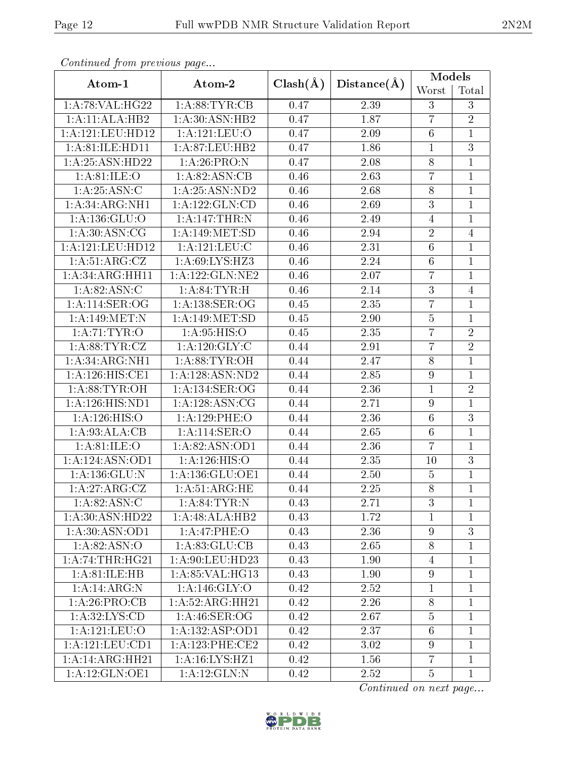| Continuea from previous page        |                     |              |             | Models           |                |
|-------------------------------------|---------------------|--------------|-------------|------------------|----------------|
| Atom-1                              | Atom-2              | $Clash(\AA)$ | Distance(A) | Worst            | Total          |
| 1: A:78: VAL:HG22                   | 1: A:88:TYR:CB      | 0.47         | 2.39        | 3                | 3              |
| 1:A:11:ALA:HB2                      | 1: A:30: ASN: HB2   | 0.47         | 1.87        | $\overline{7}$   | $\overline{2}$ |
| 1: A: 121: LEU: HD12                | 1: A: 121: LEU: O   | 0.47         | 2.09        | $6\,$            | $\mathbf 1$    |
| 1:A:81:ILE:HD11                     | 1:A:87:LEU:HB2      | 0.47         | 1.86        | $\mathbf{1}$     | $\overline{3}$ |
| 1: A:25: ASN:HD22                   | 1: A:26: PRO: N     | 0.47         | 2.08        | $8\,$            | $\mathbf{1}$   |
| 1: A:81: ILE: O                     | 1: A:82: ASN:CB     | 0.46         | 2.63        | $\overline{7}$   | $\mathbf{1}$   |
| 1: A:25: ASN:C                      | 1:A:25:ASN:ND2      | 0.46         | 2.68        | $8\,$            | $\mathbf{1}$   |
| 1: A:34: ARG: NH1                   | 1: A: 122: GLN: CD  | 0.46         | 2.69        | $\mathfrak{Z}$   | $\mathbf{1}$   |
| 1: A: 136: GLU:                     | 1:A:147:THR:N       | 0.46         | 2.49        | $\overline{4}$   | $\mathbf{1}$   |
| 1: A:30: ASN: CG                    | 1:A:149:MET:SD      | 0.46         | 2.94        | $\overline{2}$   | $\overline{4}$ |
| 1:A:121:LEU:HD12                    | 1:A:121:LEU:C       | 0.46         | 2.31        | $6\phantom{.}6$  | $\mathbf{1}$   |
| 1:A:51:ARG:CZ                       | 1: A:69: LYS: HZ3   | 0.46         | 2.24        | $6\phantom{.}6$  | $\mathbf{1}$   |
| 1:A:34:ARG:HH11                     | 1: A: 122: GLN: NE2 | 0.46         | 2.07        | $\overline{7}$   | $\mathbf{1}$   |
| 1: A:82: ASN: C                     | 1: A:84:TYR:H       | 0.46         | 2.14        | 3                | $\overline{4}$ |
| 1:A:114:SER:OG                      | 1:A:138:SER:OG      | 0.45         | 2.35        | $\overline{7}$   | $\overline{1}$ |
| 1:A:149:MET:N                       | 1:A:149:MET:SD      | 0.45         | 2.90        | $\overline{5}$   | $\mathbf{1}$   |
| 1:A:71:TYR:O                        | 1: A:95: HIS:O      | 0.45         | 2.35        | $\overline{7}$   | $\overline{2}$ |
| 1: A:88: TYR: CZ                    | 1:A:120:GLY:C       | 0.44         | 2.91        | $\overline{7}$   | $\overline{2}$ |
| 1: A:34: ARG:NH1                    | 1: A:88: TYR:OH     | 0.44         | 2.47        | $8\,$            | $\overline{1}$ |
| $1:A:126:HIS:\overline{\text{CE1}}$ | 1:A:128:ASN:ND2     | 0.44         | 2.85        | $\boldsymbol{9}$ | $\overline{1}$ |
| 1: A:88: TYR: OH                    | 1: A: 134: SER: OG  | 0.44         | 2.36        | $\mathbf{1}$     | $\overline{2}$ |
| 1:A:126:HIS:ND1                     | 1: A:128: ASN:CG    | 0.44         | 2.71        | $\boldsymbol{9}$ | $\mathbf{1}$   |
| 1:A:126:HIS:O                       | 1:A:129:PHE:O       | 0.44         | 2.36        | $6\phantom{.}6$  | $\overline{3}$ |
| 1:A:93:ALA:CB                       | 1:A:114:SER:O       | 0.44         | 2.65        | $\sqrt{6}$       | $\mathbf{1}$   |
| 1: A:81: ILE: O                     | 1:A:82:ASN:OD1      | 0.44         | 2.36        | $\overline{7}$   | $\mathbf{1}$   |
| 1:A:124:ASN:OD1                     | 1:A:126:HIS:O       | 0.44         | 2.35        | 10               | $\overline{3}$ |
| 1: A: 136: GLU: N                   | 1:A:136:GLU:OE1     | 0.44         | 2.50        | $\overline{5}$   | $\mathbf{1}$   |
| 1:A:27:ARG:CZ                       | 1: A:51: ARG:HE     | 0.44         | 2.25        | $\overline{8}$   | $\overline{1}$ |
| 1: A:82: ASN: C                     | 1: A:84:TYR:N       | 0.43         | 2.71        | 3                | $\mathbf{1}$   |
| 1: A:30: ASN:HD22                   | 1:A:48:ALA:HB2      | 0.43         | 1.72        | $\mathbf{1}$     | $\mathbf{1}$   |
| 1: A:30: ASN:OD1                    | 1:A:47:PHE:O        | 0.43         | 2.36        | 9                | 3              |
| 1: A:82: ASN:O                      | 1:A:83:GLU:CB       | 0.43         | 2.65        | 8                | $\mathbf 1$    |
| 1: A:74:THR:HG21                    | 1:A:90:LEU:HD23     | 0.43         | 1.90        | $\overline{4}$   | $\mathbf{1}$   |
| 1:A:81:ILE:HB                       | 1: A:85: VAL:HG13   | 0.43         | 1.90        | $\boldsymbol{9}$ | $\mathbf{1}$   |
| 1:A:14:ARG:N                        | 1: A:146: GLY:O     | 0.42         | 2.52        | $\mathbf{1}$     | $\mathbf{1}$   |
| 1:A:26:PRO:CB                       | 1:A:52:ARG:HH21     | 0.42         | 2.26        | $8\,$            | $\mathbf{1}$   |
| 1: A:32: LYS: CD                    | 1: A:46: SER:OG     | 0.42         | 2.67        | $\bf 5$          | $\mathbf{1}$   |
| 1: A: 121: LEU: O                   | 1:A:132:ASP:OD1     | 0.42         | 2.37        | $6\phantom{.}6$  | $\mathbf{1}$   |
| 1: A: 121: LEU: CD1                 | 1: A:123: PHE:CE2   | 0.42         | 3.02        | 9                | $\mathbf{1}$   |
| 1:A:14:ARG:HH21                     | 1:A:16:LYS:HZ1      | 0.42         | 1.56        | $\overline{7}$   | $\mathbf{1}$   |
| 1:A:12:GLN:OE1                      | 1:A:12:GLN:N        | 0.42         | 2.52        | 5                | $\mathbf{1}$   |

Continued from previous page.

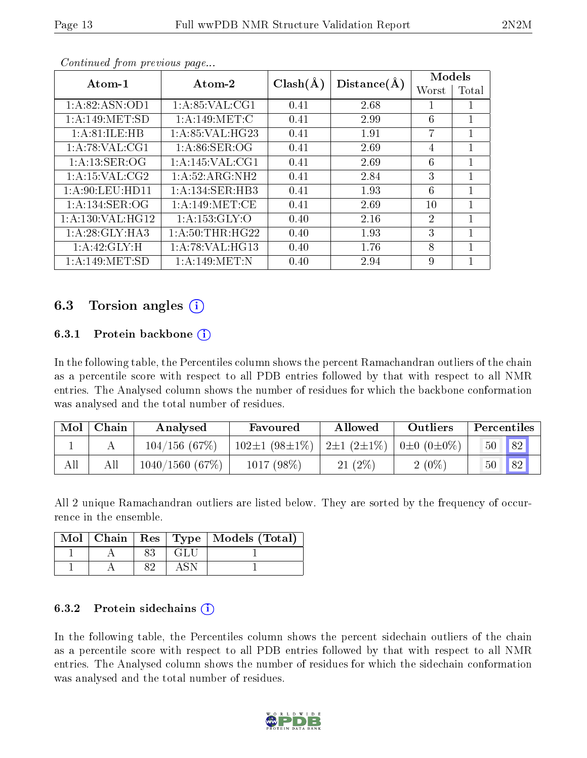| Atom-1              | Atom-2            | $Clash(\AA)$ | Distance(A) | Models                      |       |
|---------------------|-------------------|--------------|-------------|-----------------------------|-------|
|                     |                   |              |             | Worst                       | Total |
| 1: A:82: ASN:OD1    | 1:A:85:VAL:CG1    | 0.41         | 2.68        |                             |       |
| 1: A:149: MET:SD    | 1: A:149:MET:C    | 0.41         | 2.99        | 6                           |       |
| 1: A:81:ILE:HB      | 1: A:85: VAL:HG23 | 0.41         | 1.91        | 7                           | 1     |
| 1: A:78: VAL:CG1    | 1: A:86: SER:OG   | 0.41         | 2.69        | 4                           |       |
| 1: A: 13: SER: OG   | 1: A:145: VAL:CG1 | 0.41         | 2.69        | 6                           | 1     |
| 1:A:15:VAL:CG2      | 1:A:52:ARG:NH2    | 0.41         | 2.84        | 3                           | 1     |
| 1: A:90: LEU: HD11  | 1:A:134:SER:HB3   | 0.41         | 1.93        | 6                           |       |
| 1:A:134:SER:OG      | 1: A:149: MET:CE  | 0.41         | 2.69        | 10                          | 1     |
| 1: A: 130: VAL:HG12 | 1: A: 153: GLY: O | 0.40         | 2.16        | $\mathcal{D}_{\mathcal{L}}$ |       |
| 1:A:28:GLY:HA3      | 1: A:50:THR:HG22  | 0.40         | 1.93        | 3                           | 1     |
| 1:A:42:GLY:H        | 1: A:78: VAL:HG13 | 0.40         | 1.76        | 8                           |       |
| 1:A:149:MET:SD      | 1: A:149:MET:N    | 0.40         | 2.94        | 9                           |       |

Continued from previous page...

# 6.3 Torsion angles (i)

#### 6.3.1 Protein backbone  $(i)$

In the following table, the Percentiles column shows the percent Ramachandran outliers of the chain as a percentile score with respect to all PDB entries followed by that with respect to all NMR entries. The Analysed column shows the number of residues for which the backbone conformation was analysed and the total number of residues.

| Mol | Chain | Analysed       | Favoured            | Allowed                                      | Outliers | Percentiles |
|-----|-------|----------------|---------------------|----------------------------------------------|----------|-------------|
|     |       | 104/156(67%)   | $102\pm1(98\pm1\%)$ | $2\pm1(2\pm1\%)$ 0 $\pm$ 0 (0 $\pm$ 0 $\%$ ) |          | 82 <br>50   |
| All | All   | 1040/1560(67%) | 1017 (98%)          | $21(2\%)$                                    | $2(0\%)$ | 82<br>50    |

All 2 unique Ramachandran outliers are listed below. They are sorted by the frequency of occurrence in the ensemble.

|  |      | Mol   Chain   Res   Type   Models (Total) |
|--|------|-------------------------------------------|
|  | -GLU |                                           |
|  |      |                                           |

#### 6.3.2 Protein sidechains  $\hat{1}$

In the following table, the Percentiles column shows the percent sidechain outliers of the chain as a percentile score with respect to all PDB entries followed by that with respect to all NMR entries. The Analysed column shows the number of residues for which the sidechain conformation was analysed and the total number of residues.

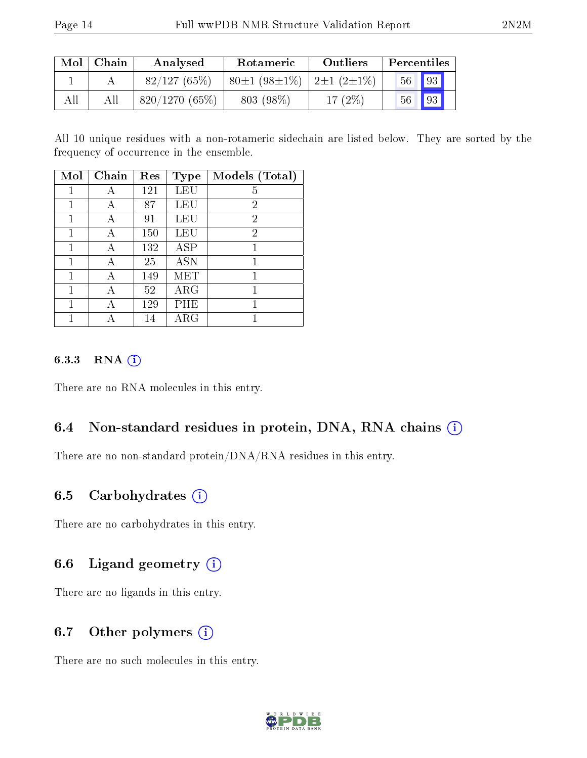| $\text{Mol}$ | Chain | Analysed      | Rotameric                      | <b>Outliers</b> | Percentiles     |                   |
|--------------|-------|---------------|--------------------------------|-----------------|-----------------|-------------------|
|              |       | 82/127(65%)   | $80\pm1(98\pm1\%)$ 2±1 (2±1\%) |                 | 56 <sup>°</sup> | $\blacksquare$ 93 |
| All          |       | 820/1270(65%) | 803 (98\%)                     | $17(2\%)$       | $56-$           | $\vert$ 93        |

All 10 unique residues with a non-rotameric sidechain are listed below. They are sorted by the frequency of occurrence in the ensemble.

| Mol | Chain | Res | <b>Type</b> | Models (Total) |
|-----|-------|-----|-------------|----------------|
|     | А     | 121 | LEU         | 5              |
| 1   |       | 87  | LEU         | 2              |
| 1   | А     | 91  | LEU         | $\overline{2}$ |
|     | А     | 150 | LEU         | $\overline{2}$ |
| 1   | А     | 132 | $\rm{ASP}$  |                |
| 1   | А     | 25  | <b>ASN</b>  | 1              |
| 1   | А     | 149 | MET         |                |
| 1   | А     | 52  | $\rm{ARG}$  |                |
| 1   | А     | 129 | PHE         |                |
|     |       | 14  | ${\rm ARG}$ |                |

#### 6.3.3 RNA (i)

There are no RNA molecules in this entry.

## 6.4 Non-standard residues in protein, DNA, RNA chains (i)

There are no non-standard protein/DNA/RNA residues in this entry.

## 6.5 Carbohydrates  $(i)$

There are no carbohydrates in this entry.

## 6.6 Ligand geometry  $(i)$

There are no ligands in this entry.

## 6.7 [O](https://www.wwpdb.org/validation/2017/NMRValidationReportHelp#nonstandard_residues_and_ligands)ther polymers  $(i)$

There are no such molecules in this entry.

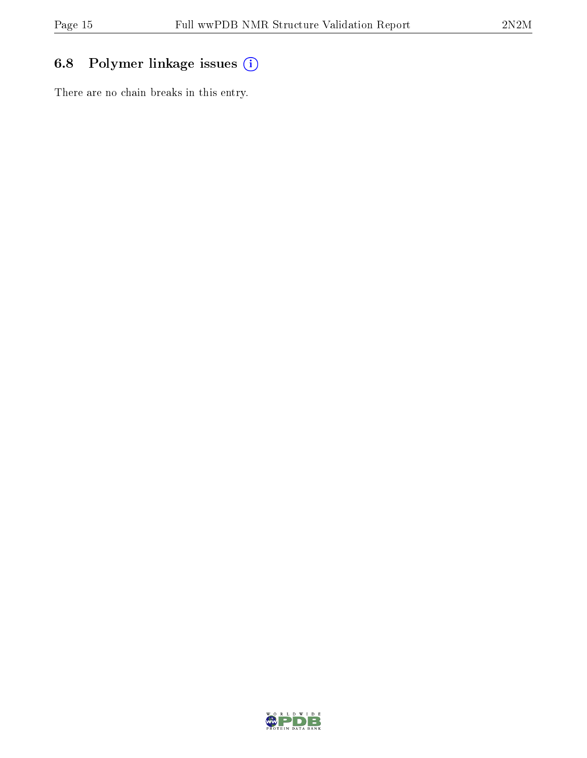# 6.8 Polymer linkage issues (i)

There are no chain breaks in this entry.

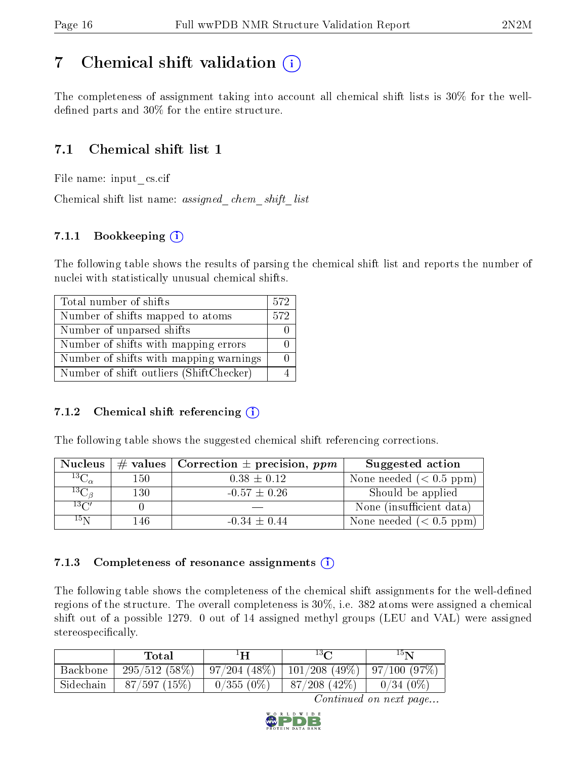# <span id="page-15-0"></span>7 Chemical shift validation  $\left( \begin{array}{c} \overline{1} \end{array} \right)$

The completeness of assignment taking into account all chemical shift lists is 30% for the welldefined parts and  $30\%$  for the entire structure.

# 7.1 Chemical shift list 1

File name: input\_cs.cif

Chemical shift list name: assigned\_chem\_shift\_list

# 7.1.1 Bookkeeping (i)

The following table shows the results of parsing the chemical shift list and reports the number of nuclei with statistically unusual chemical shifts.

| Total number of shifts                  | 572 |
|-----------------------------------------|-----|
| Number of shifts mapped to atoms        | 572 |
| Number of unparsed shifts               |     |
| Number of shifts with mapping errors    |     |
| Number of shifts with mapping warnings  |     |
| Number of shift outliers (ShiftChecker) |     |

## 7.1.2 Chemical shift referencing  $(i)$

The following table shows the suggested chemical shift referencing corrections.

| <b>Nucleus</b>        |     | # values   Correction $\pm$ precision, ppm | Suggested action         |
|-----------------------|-----|--------------------------------------------|--------------------------|
| $^{13}$ C $_{\alpha}$ | 150 | $0.38 \pm 0.12$                            | None needed $(0.5 ppm)$  |
| ${}^{13}C_{\beta}$    | 130 | $-0.57 \pm 0.26$                           | Should be applied        |
| $13\text{C}$          |     |                                            | None (insufficient data) |
| 15 <sub>N</sub>       | 146 | $-0.34 \pm 0.44$                           | None needed $(0.5 ppm)$  |

## 7.1.3 Completeness of resonance assignments  $(i)$

The following table shows the completeness of the chemical shift assignments for the well-defined regions of the structure. The overall completeness is 30%, i.e. 382 atoms were assigned a chemical shift out of a possible 1279. 0 out of 14 assigned methyl groups (LEU and VAL) were assigned stereospecifically.

|           | Total           | $^1\mathbf{H}$ | $13\Omega$                               | 15 N        |
|-----------|-----------------|----------------|------------------------------------------|-------------|
| Backbone  | $295/512(58\%)$ | 97/204(48%)    | $\mid$ 101/208 (49%) $\mid$ 97/100 (97%) |             |
| Sidechain | 87/597(15%)     | $0/355(0\%)$   | $87/208$ (42\%)                          | $0/34(0\%)$ |

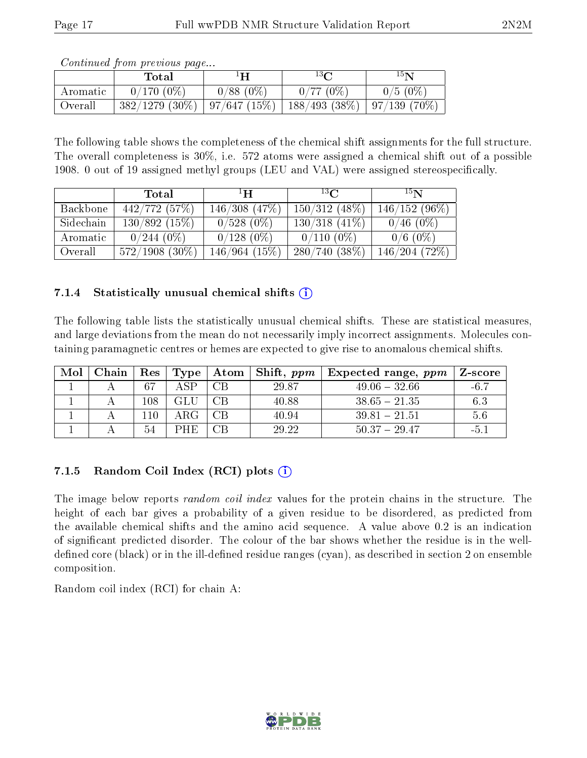| <i>Continued from previous page</i> |  |  |
|-------------------------------------|--|--|

|          | $\rm Total$       | $1\mathbf{H}$ | $13\Omega$                       | $15\mathbf{N}$ |
|----------|-------------------|---------------|----------------------------------|----------------|
| Aromatic | $0/170(0\%)$      | $0/88(0\%)$   | 0/77(0%)                         | $0/5(0\%)$     |
| Overall  | $382/1279$ (30\%) | 97/647(15%)   | $188/493$ (38\%)   97/139 (70\%) |                |

The following table shows the completeness of the chemical shift assignments for the full structure. The overall completeness is 30%, i.e. 572 atoms were assigned a chemical shift out of a possible 1908. 0 out of 19 assigned methyl groups (LEU and VAL) were assigned stereospecifically.

|           | Total             | ŦН              | $^{13}$ $\Omega$ | 15 <sub>N</sub> |
|-----------|-------------------|-----------------|------------------|-----------------|
| Backbone  | 442/772(57%)      | 146/308(47%)    | $150/312$ (48\%) | $146/152(96\%)$ |
| Sidechain | 130/892(15%)      | $0/528(0\%)$    | $130/318$ (41\%) | $0/46(0\%)$     |
| Aromatic  | $0/244~(0\%)$     | $0/128(0\%)$    | $0/110(0\%)$     | $0/6$ (0\%)     |
| Overall   | $572/1908$ (30\%) | $146/964$ (15%) | $280/740(38\%)$  | 146/204(72%)    |

## 7.1.4 Statistically unusual chemical shifts  $(i)$

The following table lists the statistically unusual chemical shifts. These are statistical measures, and large deviations from the mean do not necessarily imply incorrect assignments. Molecules containing paramagnetic centres or hemes are expected to give rise to anomalous chemical shifts.

| Mol | Chain | $\operatorname{Res}$ | Type <sub>1</sub> | Atom | $\perp$ Shift, ppm | $\pm$ Expected range, $ppm$ | Z-score |
|-----|-------|----------------------|-------------------|------|--------------------|-----------------------------|---------|
|     |       | 67                   | 4 SP              | CΒ   | 29.87              | $49.06 - 32.66$             | $-6.7$  |
|     |       | 108                  | GLU-              | CВ   | 40.88              | $38.65 - 21.35$             | 6.3     |
|     |       | 10                   |                   |      | 40.94              | $39.81 - 21.51$             | 5.6     |
|     |       | 54                   | PHE.              | CR   | 29.22              | $50.37 - 29.47$             | -5.     |

## 7.1.5 Random Coil Index  $(RCI)$  plots  $(i)$

The image below reports *random coil index* values for the protein chains in the structure. The height of each bar gives a probability of a given residue to be disordered, as predicted from the available chemical shifts and the amino acid sequence. A value above 0.2 is an indication of signicant predicted disorder. The colour of the bar shows whether the residue is in the welldefined core (black) or in the ill-defined residue ranges (cyan), as described in section 2 on ensemble composition.

Random coil index (RCI) for chain A: